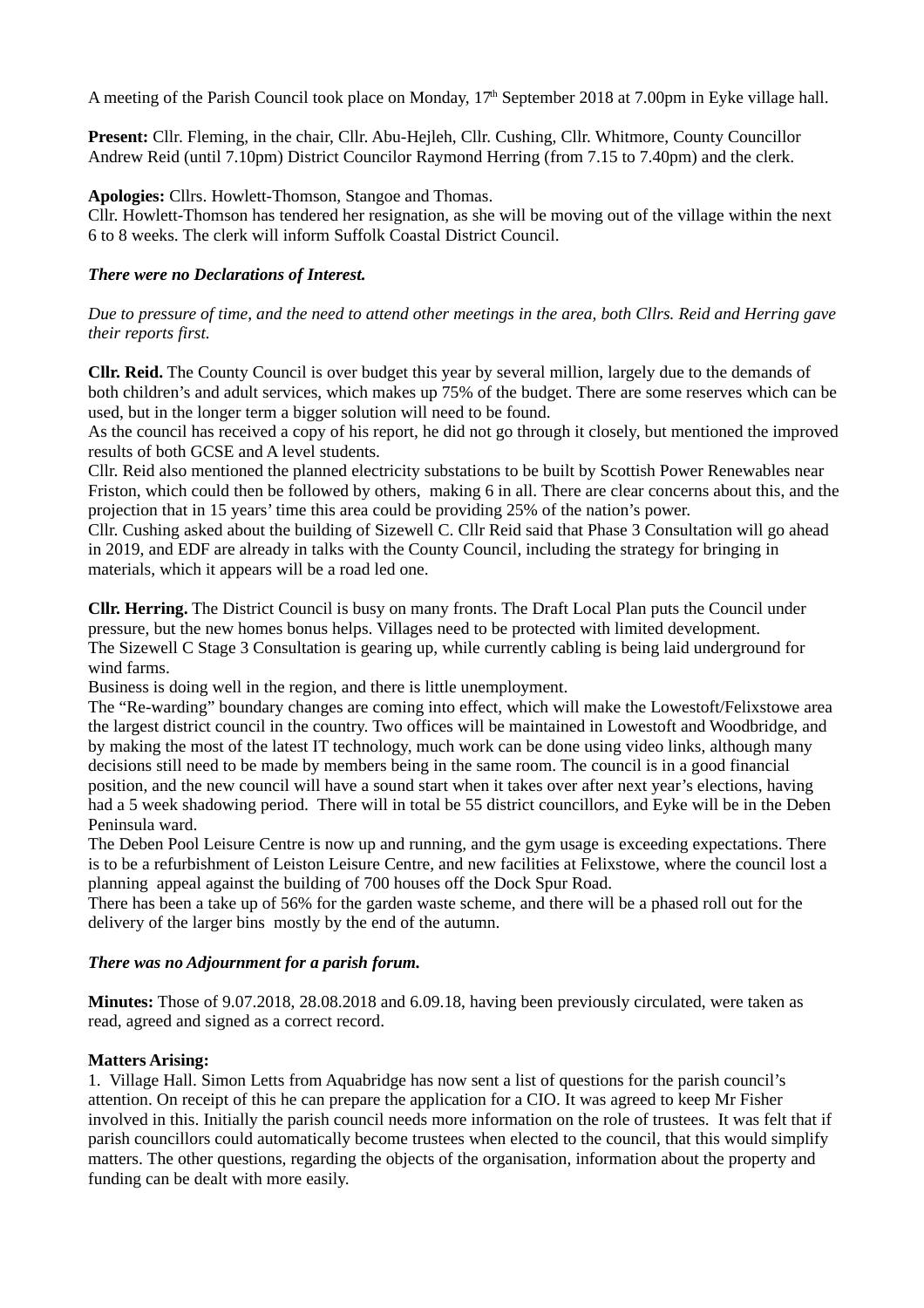A meeting of the Parish Council took place on Monday, 17<sup>th</sup> September 2018 at 7.00pm in Eyke village hall.

**Present:** Cllr. Fleming, in the chair, Cllr. Abu-Hejleh, Cllr. Cushing, Cllr. Whitmore, County Councillor Andrew Reid (until 7.10pm) District Councilor Raymond Herring (from 7.15 to 7.40pm) and the clerk.

**Apologies:** Cllrs. Howlett-Thomson, Stangoe and Thomas.

Cllr. Howlett-Thomson has tendered her resignation, as she will be moving out of the village within the next 6 to 8 weeks. The clerk will inform Suffolk Coastal District Council.

### *There were no Declarations of Interest.*

*Due to pressure of time, and the need to attend other meetings in the area, both Cllrs. Reid and Herring gave their reports first.*

**Cllr. Reid.** The County Council is over budget this year by several million, largely due to the demands of both children's and adult services, which makes up 75% of the budget. There are some reserves which can be used, but in the longer term a bigger solution will need to be found.

As the council has received a copy of his report, he did not go through it closely, but mentioned the improved results of both GCSE and A level students.

Cllr. Reid also mentioned the planned electricity substations to be built by Scottish Power Renewables near Friston, which could then be followed by others, making 6 in all. There are clear concerns about this, and the projection that in 15 years' time this area could be providing 25% of the nation's power.

Cllr. Cushing asked about the building of Sizewell C. Cllr Reid said that Phase 3 Consultation will go ahead in 2019, and EDF are already in talks with the County Council, including the strategy for bringing in materials, which it appears will be a road led one.

**Cllr. Herring.** The District Council is busy on many fronts. The Draft Local Plan puts the Council under pressure, but the new homes bonus helps. Villages need to be protected with limited development. The Sizewell C Stage 3 Consultation is gearing up, while currently cabling is being laid underground for wind farms.

Business is doing well in the region, and there is little unemployment.

The "Re-warding" boundary changes are coming into effect, which will make the Lowestoft/Felixstowe area the largest district council in the country. Two offices will be maintained in Lowestoft and Woodbridge, and by making the most of the latest IT technology, much work can be done using video links, although many decisions still need to be made by members being in the same room. The council is in a good financial position, and the new council will have a sound start when it takes over after next year's elections, having had a 5 week shadowing period. There will in total be 55 district councillors, and Eyke will be in the Deben Peninsula ward.

The Deben Pool Leisure Centre is now up and running, and the gym usage is exceeding expectations. There is to be a refurbishment of Leiston Leisure Centre, and new facilities at Felixstowe, where the council lost a planning appeal against the building of 700 houses off the Dock Spur Road.

There has been a take up of 56% for the garden waste scheme, and there will be a phased roll out for the delivery of the larger bins mostly by the end of the autumn.

# *There was no Adjournment for a parish forum.*

**Minutes:** Those of 9.07.2018, 28.08.2018 and 6.09.18, having been previously circulated, were taken as read, agreed and signed as a correct record.

# **Matters Arising:**

1. Village Hall. Simon Letts from Aquabridge has now sent a list of questions for the parish council's attention. On receipt of this he can prepare the application for a CIO. It was agreed to keep Mr Fisher involved in this. Initially the parish council needs more information on the role of trustees. It was felt that if parish councillors could automatically become trustees when elected to the council, that this would simplify matters. The other questions, regarding the objects of the organisation, information about the property and funding can be dealt with more easily.